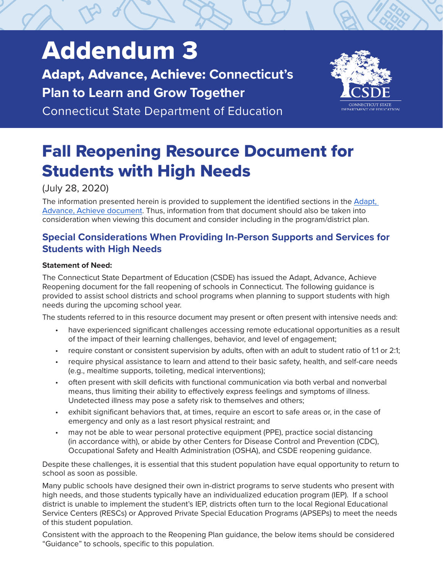# Addendum 3

Adapt, Advance, Achieve: **Connecticut's Plan to Learn and Grow Together**

Connecticut State Department of Education



# Fall Reopening Resource Document for Students with High Needs

# (July 28, 2020)

The information presented herein is provided to supplement the identified sections in the [Adapt,](https://portal.ct.gov/-/media/SDE/COVID-19/CTReopeningSchools.pdf)  [Advance, Achieve document.](https://portal.ct.gov/-/media/SDE/COVID-19/CTReopeningSchools.pdf) Thus, information from that document should also be taken into consideration when viewing this document and consider including in the program/district plan.

# **Special Considerations When Providing In-Person Supports and Services for Students with High Needs**

### **Statement of Need:**

The Connecticut State Department of Education (CSDE) has issued the Adapt, Advance, Achieve Reopening document for the fall reopening of schools in Connecticut. The following guidance is provided to assist school districts and school programs when planning to support students with high needs during the upcoming school year.

The students referred to in this resource document may present or often present with intensive needs and:

- have experienced significant challenges accessing remote educational opportunities as a result of the impact of their learning challenges, behavior, and level of engagement;
- require constant or consistent supervision by adults, often with an adult to student ratio of 1:1 or 2:1;
- require physical assistance to learn and attend to their basic safety, health, and self-care needs (e.g., mealtime supports, toileting, medical interventions);
- often present with skill deficits with functional communication via both verbal and nonverbal means, thus limiting their ability to effectively express feelings and symptoms of illness. Undetected illness may pose a safety risk to themselves and others;
- exhibit significant behaviors that, at times, require an escort to safe areas or, in the case of emergency and only as a last resort physical restraint; and
- may not be able to wear personal protective equipment (PPE), practice social distancing (in accordance with), or abide by other Centers for Disease Control and Prevention (CDC), Occupational Safety and Health Administration (OSHA), and CSDE reopening guidance.

Despite these challenges, it is essential that this student population have equal opportunity to return to school as soon as possible.

Many public schools have designed their own in-district programs to serve students who present with high needs, and those students typically have an individualized education program (IEP). If a school district is unable to implement the student's IEP, districts often turn to the local Regional Educational Service Centers (RESCs) or Approved Private Special Education Programs (APSEPs) to meet the needs of this student population.

Consistent with the approach to the Reopening Plan guidance, the below items should be considered "Guidance" to schools, specific to this population.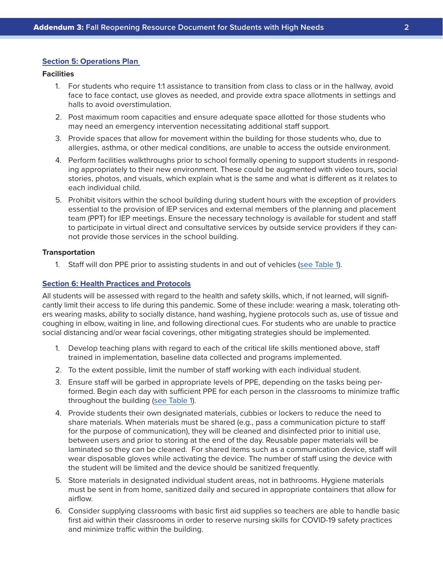#### **Section 5: Operations Plan**

#### **Facilities**

- 1. For students who require 1:1 assistance to transition from class to class or in the hallway, avoid face to face contact, use gloves as needed, and provide extra space allotments in settings and halls to avoid overstimulation.
- 2. Post maximum room capacities and ensure adequate space allotted for those students who may need an emergency intervention necessitating additional staff support.
- 3. Provide spaces that allow for movement within the building for those students who, due to allergies, asthma, or other medical conditions, are unable to access the outside environment.
- 4. Perform facilities walkthroughs prior to school formally opening to support students in responding appropriately to their new environment. These could be augmented with video tours, social stories, photos, and visuals, which explain what is the same and what is different as it relates to each individual child.
- 5. Prohibit visitors within the school building during student hours with the exception of providers essential to the provision of IEP services and external members of the planning and placement team (PPT) for IEP meetings. Ensure the necessary technology is available for student and staff to participate in virtual direct and consultative services by outside service providers if they cannot provide those services in the school building.

#### **Transportation**

1. Staff will don PPE prior to assisting students in and out of vehicles ([see Table 1\)](#page-6-0).

#### **Section 6: Health Practices and Protocols**

All students will be assessed with regard to the health and safety skills, which, if not learned, will significantly limit their access to life during this pandemic. Some of these include: wearing a mask, tolerating others wearing masks, ability to socially distance, hand washing, hygiene protocols such as, use of tissue and coughing in elbow, waiting in line, and following directional cues. For students who are unable to practice social distancing and/or wear facial coverings, other mitigating strategies should be implemented.

- 1. Develop teaching plans with regard to each of the critical life skills mentioned above, staff trained in implementation, baseline data collected and programs implemented.
- 2. To the extent possible, limit the number of staff working with each individual student.
- 3. Ensure staff will be garbed in appropriate levels of PPE, depending on the tasks being performed. Begin each day with sufficient PPE for each person in the classrooms to minimize traffic throughout the building ([see Table 1\)](#page-6-0).
- 4. Provide students their own designated materials, cubbies or lockers to reduce the need to share materials. When materials must be shared (e.g., pass a communication picture to staff for the purpose of communication), they will be cleaned and disinfected prior to initial use, between users and prior to storing at the end of the day. Reusable paper materials will be laminated so they can be cleaned. For shared items such as a communication device, staff will wear disposable gloves while activating the device. The number of staff using the device with the student will be limited and the device should be sanitized frequently.
- 5. Store materials in designated individual student areas, not in bathrooms. Hygiene materials must be sent in from home, sanitized daily and secured in appropriate containers that allow for airflow.
- 6. Consider supplying classrooms with basic first aid supplies so teachers are able to handle basic first aid within their classrooms in order to reserve nursing skills for COVID-19 safety practices and minimize traffic within the building.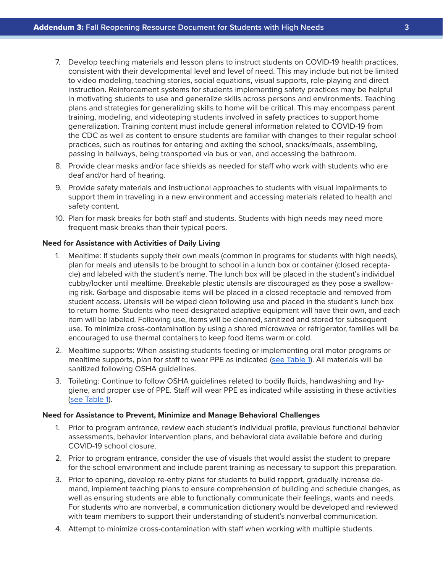- 7. Develop teaching materials and lesson plans to instruct students on COVID-19 health practices, consistent with their developmental level and level of need. This may include but not be limited to video modeling, teaching stories, social equations, visual supports, role-playing and direct instruction. Reinforcement systems for students implementing safety practices may be helpful in motivating students to use and generalize skills across persons and environments. Teaching plans and strategies for generalizing skills to home will be critical. This may encompass parent training, modeling, and videotaping students involved in safety practices to support home generalization. Training content must include general information related to COVID-19 from the CDC as well as content to ensure students are familiar with changes to their regular school practices, such as routines for entering and exiting the school, snacks/meals, assembling, passing in hallways, being transported via bus or van, and accessing the bathroom.
- 8. Provide clear masks and/or face shields as needed for staff who work with students who are deaf and/or hard of hearing.
- 9. Provide safety materials and instructional approaches to students with visual impairments to support them in traveling in a new environment and accessing materials related to health and safety content.
- 10. Plan for mask breaks for both staff and students. Students with high needs may need more frequent mask breaks than their typical peers.

#### **Need for Assistance with Activities of Daily Living**

- 1. Mealtime: If students supply their own meals (common in programs for students with high needs), plan for meals and utensils to be brought to school in a lunch box or container (closed receptacle) and labeled with the student's name. The lunch box will be placed in the student's individual cubby/locker until mealtime. Breakable plastic utensils are discouraged as they pose a swallowing risk. Garbage and disposable items will be placed in a closed receptacle and removed from student access. Utensils will be wiped clean following use and placed in the student's lunch box to return home. Students who need designated adaptive equipment will have their own, and each item will be labeled. Following use, items will be cleaned, sanitized and stored for subsequent use. To minimize cross-contamination by using a shared microwave or refrigerator, families will be encouraged to use thermal containers to keep food items warm or cold.
- 2. Mealtime supports: When assisting students feeding or implementing oral motor programs or mealtime supports, plan for staff to wear PPE as indicated ([see Table 1\)](#page-6-0). All materials will be sanitized following OSHA guidelines.
- 3. Toileting: Continue to follow OSHA guidelines related to bodily fluids, handwashing and hygiene, and proper use of PPE. Staff will wear PPE as indicated while assisting in these activities ([see Table 1](#page-6-0)).

#### **Need for Assistance to Prevent, Minimize and Manage Behavioral Challenges**

- 1. Prior to program entrance, review each student's individual profile, previous functional behavior assessments, behavior intervention plans, and behavioral data available before and during COVID-19 school closure.
- 2. Prior to program entrance, consider the use of visuals that would assist the student to prepare for the school environment and include parent training as necessary to support this preparation.
- 3. Prior to opening, develop re-entry plans for students to build rapport, gradually increase demand, implement teaching plans to ensure comprehension of building and schedule changes, as well as ensuring students are able to functionally communicate their feelings, wants and needs. For students who are nonverbal, a communication dictionary would be developed and reviewed with team members to support their understanding of student's nonverbal communication.
- 4. Attempt to minimize cross-contamination with staff when working with multiple students.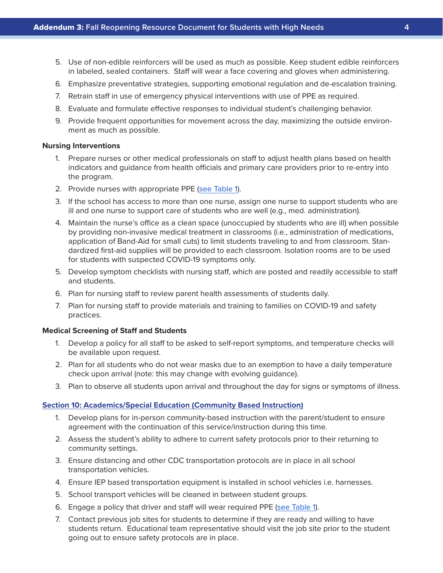- 5. Use of non-edible reinforcers will be used as much as possible. Keep student edible reinforcers in labeled, sealed containers. Staff will wear a face covering and gloves when administering.
- 6. Emphasize preventative strategies, supporting emotional regulation and de-escalation training.
- 7. Retrain staff in use of emergency physical interventions with use of PPE as required.
- 8. Evaluate and formulate effective responses to individual student's challenging behavior.
- 9. Provide frequent opportunities for movement across the day, maximizing the outside environment as much as possible.

#### **Nursing Interventions**

- 1. Prepare nurses or other medical professionals on staff to adjust health plans based on health indicators and guidance from health officials and primary care providers prior to re-entry into the program.
- 2. Provide nurses with appropriate PPE [\(see Table 1](#page-6-0)).
- 3. If the school has access to more than one nurse, assign one nurse to support students who are ill and one nurse to support care of students who are well (e.g., med. administration).
- 4. Maintain the nurse's office as a clean space (unoccupied by students who are ill) when possible by providing non-invasive medical treatment in classrooms (i.e., administration of medications, application of Band-Aid for small cuts) to limit students traveling to and from classroom. Standardized first-aid supplies will be provided to each classroom. Isolation rooms are to be used for students with suspected COVID-19 symptoms only.
- 5. Develop symptom checklists with nursing staff, which are posted and readily accessible to staff and students.
- 6. Plan for nursing staff to review parent health assessments of students daily.
- 7. Plan for nursing staff to provide materials and training to families on COVID-19 and safety practices.

#### **Medical Screening of Staff and Students**

- 1. Develop a policy for all staff to be asked to self-report symptoms, and temperature checks will be available upon request.
- 2. Plan for all students who do not wear masks due to an exemption to have a daily temperature check upon arrival (note: this may change with evolving guidance).
- 3. Plan to observe all students upon arrival and throughout the day for signs or symptoms of illness.

#### **Section 10: Academics/Special Education (Community Based Instruction)**

- 1. Develop plans for in-person community-based instruction with the parent/student to ensure agreement with the continuation of this service/instruction during this time.
- 2. Assess the student's ability to adhere to current safety protocols prior to their returning to community settings.
- 3. Ensure distancing and other CDC transportation protocols are in place in all school transportation vehicles.
- 4. Ensure IEP based transportation equipment is installed in school vehicles i.e. harnesses.
- 5. School transport vehicles will be cleaned in between student groups.
- 6. Engage a policy that driver and staff will wear required PPE [\(see Table 1](#page-6-0)).
- 7. Contact previous job sites for students to determine if they are ready and willing to have students return. Educational team representative should visit the job site prior to the student going out to ensure safety protocols are in place.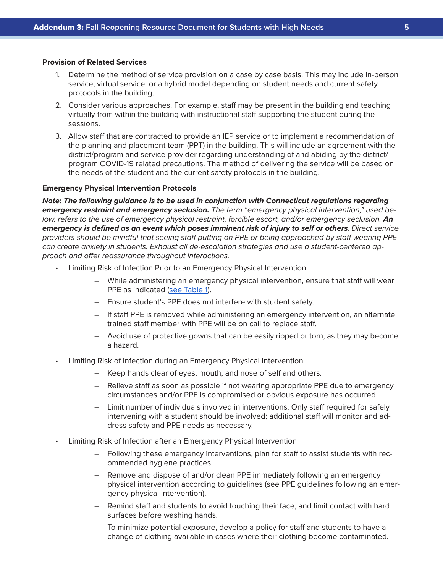#### **Provision of Related Services**

- 1. Determine the method of service provision on a case by case basis. This may include in-person service, virtual service, or a hybrid model depending on student needs and current safety protocols in the building.
- 2. Consider various approaches. For example, staff may be present in the building and teaching virtually from within the building with instructional staff supporting the student during the sessions.
- 3. Allow staff that are contracted to provide an IEP service or to implement a recommendation of the planning and placement team (PPT) in the building. This will include an agreement with the district/program and service provider regarding understanding of and abiding by the district/ program COVID-19 related precautions. The method of delivering the service will be based on the needs of the student and the current safety protocols in the building.

#### **Emergency Physical Intervention Protocols**

*Note: The following guidance is to be used in conjunction with Connecticut regulations regarding emergency restraint and emergency seclusion. The term "emergency physical intervention," used below, refers to the use of emergency physical restraint, forcible escort, and/or emergency seclusion.* An *emergency is defined as an event which poses imminent risk of injury to self or others. Direct service providers should be mindful that seeing staff putting on PPE or being approached by staff wearing PPE can create anxiety in students. Exhaust all de-escalation strategies and use a student-centered approach and offer reassurance throughout interactions.* 

- Limiting Risk of Infection Prior to an Emergency Physical Intervention
	- While administering an emergency physical intervention, ensure that staff will wear PPE as indicated [\(see Table 1](#page-6-0)).
	- Ensure student's PPE does not interfere with student safety.
	- If staff PPE is removed while administering an emergency intervention, an alternate trained staff member with PPE will be on call to replace staff.
	- Avoid use of protective gowns that can be easily ripped or torn, as they may become a hazard.
- Limiting Risk of Infection during an Emergency Physical Intervention
	- Keep hands clear of eyes, mouth, and nose of self and others.
	- Relieve staff as soon as possible if not wearing appropriate PPE due to emergency circumstances and/or PPE is compromised or obvious exposure has occurred.
	- Limit number of individuals involved in interventions. Only staff required for safely intervening with a student should be involved; additional staff will monitor and address safety and PPE needs as necessary.
- Limiting Risk of Infection after an Emergency Physical Intervention
	- Following these emergency interventions, plan for staff to assist students with recommended hygiene practices.
	- Remove and dispose of and/or clean PPE immediately following an emergency physical intervention according to guidelines (see PPE guidelines following an emergency physical intervention).
	- Remind staff and students to avoid touching their face, and limit contact with hard surfaces before washing hands.
	- To minimize potential exposure, develop a policy for staff and students to have a change of clothing available in cases where their clothing become contaminated.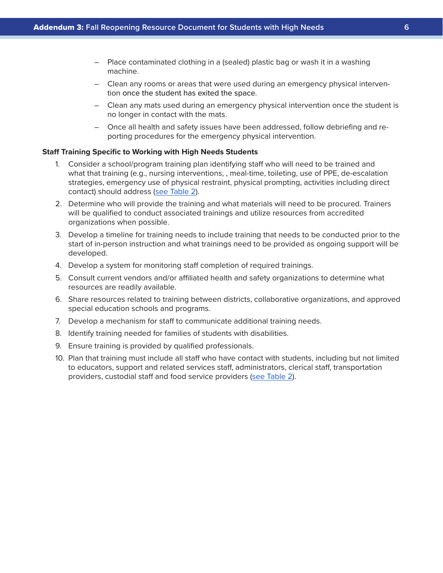- Place contaminated clothing in a (sealed) plastic bag or wash it in a washing machine.
- Clean any rooms or areas that were used during an emergency physical intervention once the student has exited the space.
- Clean any mats used during an emergency physical intervention once the student is no longer in contact with the mats.
- Once all health and safety issues have been addressed, follow debriefing and reporting procedures for the emergency physical intervention.

#### **Staff Training Specific to Working with High Needs Students**

- 1. Consider a school/program training plan identifying staff who will need to be trained and what that training (e.g., nursing interventions, , meal-time, toileting, use of PPE, de-escalation strategies, emergency use of physical restraint, physical prompting, activities including direct contact) should address (s[ee Table 2](#page-7-0)).
- 2. Determine who will provide the training and what materials will need to be procured. Trainers will be qualified to conduct associated trainings and utilize resources from accredited organizations when possible.
- 3. Develop a timeline for training needs to include training that needs to be conducted prior to the start of in-person instruction and what trainings need to be provided as ongoing support will be developed.
- 4. Develop a system for monitoring staff completion of required trainings.
- 5. Consult current vendors and/or affiliated health and safety organizations to determine what resources are readily available.
- 6. Share resources related to training between districts, collaborative organizations, and approved special education schools and programs.
- 7. Develop a mechanism for staff to communicate additional training needs.
- 8. Identify training needed for families of students with disabilities.
- 9. Ensure training is provided by qualified professionals.
- 10. Plan that training must include all staff who have contact with students, including but not limited to educators, support and related services staff, administrators, clerical staff, transportation providers, custodial staff and food service providers (s[ee Table 2](#page-7-0)).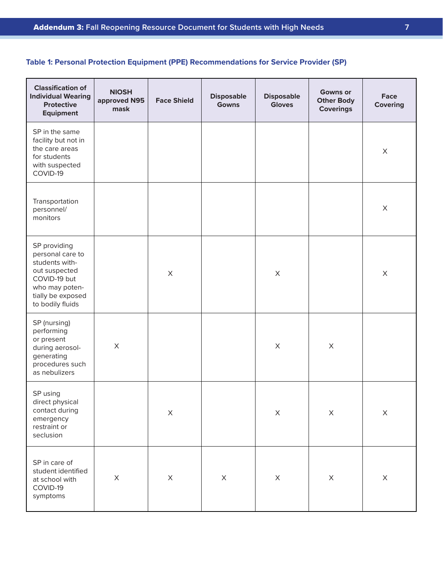# <span id="page-6-0"></span>**Table 1: Personal Protection Equipment (PPE) Recommendations for Service Provider (SP)**

| <b>Classification of</b><br><b>Individual Wearing</b><br><b>Protective</b><br><b>Equipment</b>                                                 | <b>NIOSH</b><br>approved N95<br>mask | <b>Face Shield</b>    | <b>Disposable</b><br><b>Gowns</b> | <b>Disposable</b><br><b>Gloves</b> | <b>Gowns or</b><br><b>Other Body</b><br><b>Coverings</b> | Face<br><b>Covering</b> |
|------------------------------------------------------------------------------------------------------------------------------------------------|--------------------------------------|-----------------------|-----------------------------------|------------------------------------|----------------------------------------------------------|-------------------------|
| SP in the same<br>facility but not in<br>the care areas<br>for students<br>with suspected<br>COVID-19                                          |                                      |                       |                                   |                                    |                                                          | X                       |
| Transportation<br>personnel/<br>monitors                                                                                                       |                                      |                       |                                   |                                    |                                                          | X                       |
| SP providing<br>personal care to<br>students with-<br>out suspected<br>COVID-19 but<br>who may poten-<br>tially be exposed<br>to bodily fluids |                                      | $\boldsymbol{\times}$ |                                   | $\boldsymbol{\mathsf{X}}$          |                                                          | $\mathsf X$             |
| SP (nursing)<br>performing<br>or present<br>during aerosol-<br>generating<br>procedures such<br>as nebulizers                                  | $\mathsf X$                          |                       |                                   | $\boldsymbol{\mathsf{X}}$          | $\boldsymbol{\mathsf{X}}$                                |                         |
| SP using<br>direct physical<br>contact during<br>emergency<br>restraint or<br>seclusion                                                        |                                      | $\mathsf X$           |                                   | $\boldsymbol{\mathsf{X}}$          | $\mathsf X$                                              | $\times$                |
| SP in care of<br>student identified<br>at school with<br>COVID-19<br>symptoms                                                                  | $\mathsf X$                          | $\mathsf X$           | $\mathsf X$                       | $\boldsymbol{\mathsf{X}}$          | $\mathsf X$                                              | $\mathsf X$             |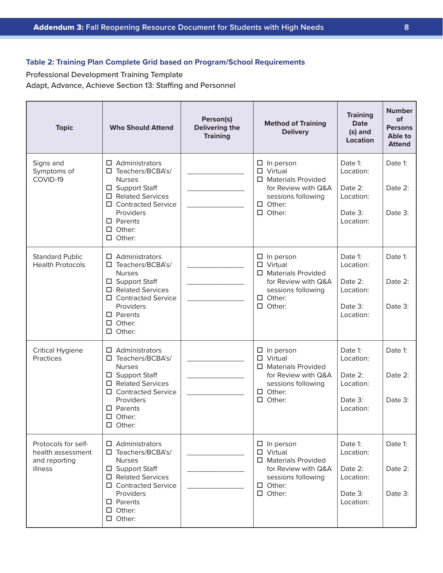# <span id="page-7-0"></span>**Table 2: Training Plan Complete Grid based on Program/School Requirements**

Professional Development Training Template Adapt, Advance, Achieve Section 13: Staffing and Personnel

| <b>Topic</b>                                                         | <b>Who Should Attend</b>                                                                                                                                                                                 | Person(s)<br><b>Delivering the</b><br><b>Training</b> | <b>Method of Training</b><br><b>Delivery</b>                                                                                                      | <b>Training</b><br><b>Date</b><br>(s) and<br><b>Location</b>         | <b>Number</b><br>of<br><b>Persons</b><br><b>Able to</b><br><b>Attend</b> |
|----------------------------------------------------------------------|----------------------------------------------------------------------------------------------------------------------------------------------------------------------------------------------------------|-------------------------------------------------------|---------------------------------------------------------------------------------------------------------------------------------------------------|----------------------------------------------------------------------|--------------------------------------------------------------------------|
| Signs and<br>Symptoms of<br>COVID-19                                 | $\Box$ Administrators<br>$\Box$ Teachers/BCBA's/<br><b>Nurses</b><br>□ Support Staff<br>$\Box$ Related Services<br>□ Contracted Service<br>Providers<br>$\Box$ Parents<br>$\Box$ Other:<br>$\Box$ Other: |                                                       | $\Box$ In person<br>$\Box$ Virtual<br>□ Materials Provided<br>for Review with Q&A<br>sessions following<br>$\Box$ Other:<br>$\Box$ Other:         | Date 1:<br>Location:<br>Date 2:<br>Location:<br>Date 3:<br>Location: | Date 1:<br>Date 2:<br>Date 3:                                            |
| <b>Standard Public</b><br><b>Health Protocols</b>                    | $\Box$ Administrators<br>□ Teachers/BCBA's/<br><b>Nurses</b><br>□ Support Staff<br>$\Box$ Related Services<br>□ Contracted Service<br>Providers<br>$\Box$ Parents<br>$\Box$ Other:<br>$\Box$ Other:      |                                                       | $\Box$ In person<br>$\Box$ Virtual<br>$\Box$ Materials Provided<br>for Review with Q&A<br>sessions following<br>$\Box$ Other:<br>$\Box$ Other:    | Date 1:<br>Location:<br>Date 2:<br>Location:<br>Date 3:<br>Location: | Date 1:<br>Date 2:<br>Date 3:                                            |
| <b>Critical Hygiene</b><br>Practices                                 | $\Box$ Administrators<br>□ Teachers/BCBA's/<br><b>Nurses</b><br>□ Support Staff<br>□ Related Services<br>□ Contracted Service<br>Providers<br>$\square$ Parents<br>$\Box$ Other:<br>$\square$ Other:     |                                                       | $\Box$ In person<br>$\Box$ Virtual<br>$\Box$ Materials Provided<br>for Review with Q&A<br>sessions following<br>$\Box$ Other:<br>$\square$ Other: | Date 1:<br>Location:<br>Date 2:<br>Location:<br>Date 3:<br>Location: | Date 1:<br>Date 2:<br>Date 3:                                            |
| Protocols for self-<br>health assessment<br>and reporting<br>illness | $\Box$ Administrators<br>□ Teachers/BCBA's/<br><b>Nurses</b><br>□ Support Staff<br>□ Related Services<br>□ Contracted Service<br>Providers<br>$\square$ Parents<br>$\Box$ Other:<br>$\Box$ Other:        |                                                       | $\Box$ In person<br>$\Box$ Virtual<br>□ Materials Provided<br>for Review with Q&A<br>sessions following<br>$\Box$ Other:<br>$\Box$ Other:         | Date 1:<br>Location:<br>Date 2:<br>Location:<br>Date 3:<br>Location: | Date 1:<br>Date 2:<br>Date 3:                                            |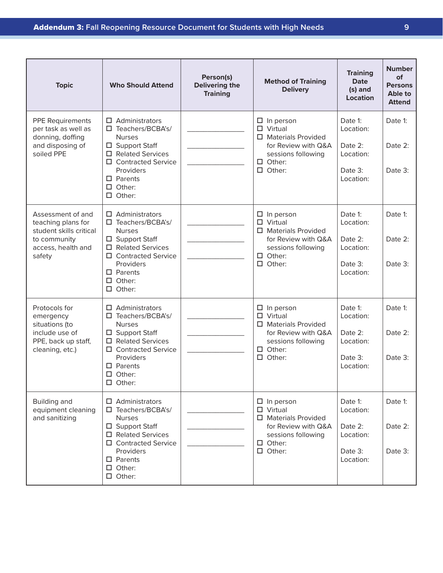| <b>Topic</b>                                                                                                       | <b>Who Should Attend</b>                                                                                                                                                                                  | Person(s)<br><b>Delivering the</b><br><b>Training</b> | <b>Method of Training</b><br><b>Delivery</b>                                                                                                         | <b>Training</b><br><b>Date</b><br>(s) and<br><b>Location</b>         | <b>Number</b><br>of<br><b>Persons</b><br>Able to<br><b>Attend</b> |
|--------------------------------------------------------------------------------------------------------------------|-----------------------------------------------------------------------------------------------------------------------------------------------------------------------------------------------------------|-------------------------------------------------------|------------------------------------------------------------------------------------------------------------------------------------------------------|----------------------------------------------------------------------|-------------------------------------------------------------------|
| <b>PPE Requirements</b><br>per task as well as<br>donning, doffing<br>and disposing of<br>soiled PPE               | $\Box$ Administrators<br>□ Teachers/BCBA's/<br><b>Nurses</b><br>□ Support Staff<br>□ Related Services<br>□ Contracted Service<br>Providers<br>$\Box$ Parents<br>$\Box$ Other:<br>$\square$ Other:         |                                                       | $\Box$ In person<br>$\Box$ Virtual<br>$\square$ Materials Provided<br>for Review with Q&A<br>sessions following<br>$\Box$ Other:<br>$\square$ Other: | Date 1:<br>Location:<br>Date 2:<br>Location:<br>Date 3:<br>Location: | Date 1:<br>Date 2:<br>Date 3:                                     |
| Assessment of and<br>teaching plans for<br>student skills critical<br>to community<br>access, health and<br>safety | Administrators<br>□.<br>□ Teachers/BCBA's/<br><b>Nurses</b><br>□ Support Staff<br>□ Related Services<br>□ Contracted Service<br>Providers<br>$\Box$ Parents<br>$\Box$ Other:<br>$\Box$ Other:             |                                                       | $\Box$ In person<br>$\square$ Virtual<br>$\Box$ Materials Provided<br>for Review with Q&A<br>sessions following<br>$\Box$ Other:<br>$\square$ Other: | Date 1:<br>Location:<br>Date 2:<br>Location:<br>Date 3:<br>Location: | Date 1:<br>Date 2:<br>Date 3:                                     |
| Protocols for<br>emergency<br>situations (to<br>include use of<br>PPE, back up staff,<br>cleaning, etc.)           | $\Box$ Administrators<br>□ Teachers/BCBA's/<br><b>Nurses</b><br>□ Support Staff<br>$\Box$ Related Services<br>□ Contracted Service<br>Providers<br>$\square$ Parents<br>$\Box$ Other:<br>$\square$ Other: |                                                       | $\Box$ In person<br>$\Box$ Virtual<br>□ Materials Provided<br>for Review with Q&A<br>sessions following<br>$\Box$ Other:<br>$\Box$ Other:            | Date 1:<br>Location:<br>Date 2:<br>Location:<br>Date 3:<br>Location: | Date 1:<br>Date $2$ :<br>Date $3$ :                               |
| Building and<br>equipment cleaning<br>and sanitizing                                                               | $\Box$ Administrators<br>□ Teachers/BCBA's/<br><b>Nurses</b><br>□ Support Staff<br>□ Related Services<br>□ Contracted Service<br>Providers<br>$\Box$ Parents<br>$\Box$ Other:<br>$\Box$ Other:            |                                                       | $\Box$ In person<br>$\Box$ Virtual<br>$\Box$ Materials Provided<br>for Review with Q&A<br>sessions following<br>$\Box$ Other:<br>$\square$ Other:    | Date 1:<br>Location:<br>Date 2:<br>Location:<br>Date 3:<br>Location: | Date 1:<br>Date 2:<br>Date 3:                                     |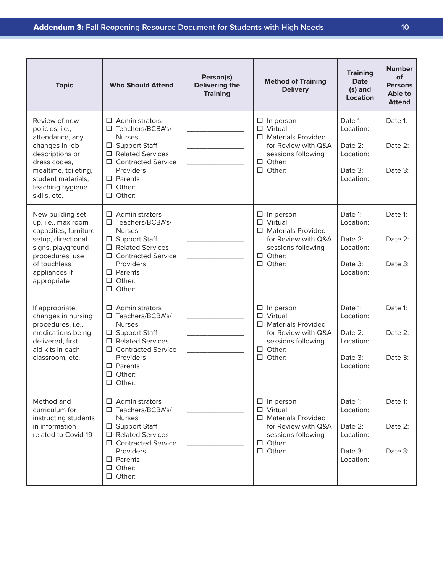| <b>Topic</b>                                                                                                                                                                               | <b>Who Should Attend</b>                                                                                                                                                                                          | Person(s)<br><b>Delivering the</b><br><b>Training</b> | <b>Method of Training</b><br><b>Delivery</b>                                                                                                      | <b>Training</b><br><b>Date</b><br>(s) and<br><b>Location</b>         | <b>Number</b><br>of<br><b>Persons</b><br>Able to<br><b>Attend</b> |
|--------------------------------------------------------------------------------------------------------------------------------------------------------------------------------------------|-------------------------------------------------------------------------------------------------------------------------------------------------------------------------------------------------------------------|-------------------------------------------------------|---------------------------------------------------------------------------------------------------------------------------------------------------|----------------------------------------------------------------------|-------------------------------------------------------------------|
| Review of new<br>policies, i.e.,<br>attendance, any<br>changes in job<br>descriptions or<br>dress codes,<br>mealtime, toileting,<br>student materials,<br>teaching hygiene<br>skills, etc. | $\Box$ Administrators<br>□ Teachers/BCBA's/<br><b>Nurses</b><br>□ Support Staff<br><b>Related Services</b><br>□<br><b>Contracted Service</b><br>□<br>Providers<br>$\square$ Parents<br>Other:<br>Other:<br>$\Box$ |                                                       | $\Box$ In person<br>$\Box$ Virtual<br>$\Box$ Materials Provided<br>for Review with Q&A<br>sessions following<br>$\Box$ Other:<br>$\Box$ Other:    | Date 1:<br>Location:<br>Date 2:<br>Location:<br>Date 3:<br>Location: | Date 1:<br>Date 2:<br>Date 3:                                     |
| New building set<br>up, i.e., max room<br>capacities, furniture<br>setup, directional<br>signs, playground<br>procedures, use<br>of touchless<br>appliances if<br>appropriate              | Administrators<br>п<br>Teachers/BCBA's/<br>□.<br><b>Nurses</b><br>□ Support Staff<br><b>Related Services</b><br>□.<br><b>Contracted Service</b><br>Providers<br>$\Box$ Parents<br>Other:<br>□<br>Other:           |                                                       | $\Box$ In person<br>$\square$ Virtual<br>□ Materials Provided<br>for Review with Q&A<br>sessions following<br>$\Box$ Other:<br>$\Box$ Other:      | Date 1:<br>Location:<br>Date 2:<br>Location:<br>Date 3:<br>Location: | Date 1:<br>Date 2:<br>Date 3:                                     |
| If appropriate,<br>changes in nursing<br>procedures, i.e.,<br>medications being<br>delivered, first<br>aid kits in each<br>classroom, etc.                                                 | Administrators<br>Teachers/BCBA's/<br><b>Nurses</b><br>□ Support Staff<br><b>Related Services</b><br>0<br>□ Contracted Service<br>Providers<br>$\square$ Parents<br>$\square$ Other:<br>$\square$ Other:          |                                                       | $\Box$ In person<br>$\Box$ Virtual<br>$\Box$ Materials Provided<br>for Review with Q&A<br>sessions following<br>$\Box$ Other:<br>$\square$ Other: | Date 1:<br>Location:<br>Date 2:<br>Location:<br>Date 3:<br>Location: | Date 1:<br>Date 2:<br>Date 3:                                     |
| Method and<br>curriculum for<br>instructing students<br>in information<br>related to Covid-19                                                                                              | $\Box$ Administrators<br>□ Teachers/BCBA's/<br><b>Nurses</b><br>□ Support Staff<br>□ Related Services<br>□ Contracted Service<br>Providers<br>$\Box$ Parents<br>$\Box$ Other:<br>$\square$ Other:                 |                                                       | $\Box$ In person<br>$\square$ Virtual<br>$\Box$ Materials Provided<br>for Review with Q&A<br>sessions following<br>$\Box$ Other:<br>$\Box$ Other: | Date 1:<br>Location:<br>Date 2:<br>Location:<br>Date 3:<br>Location: | Date 1:<br>Date 2:<br>Date 3:                                     |